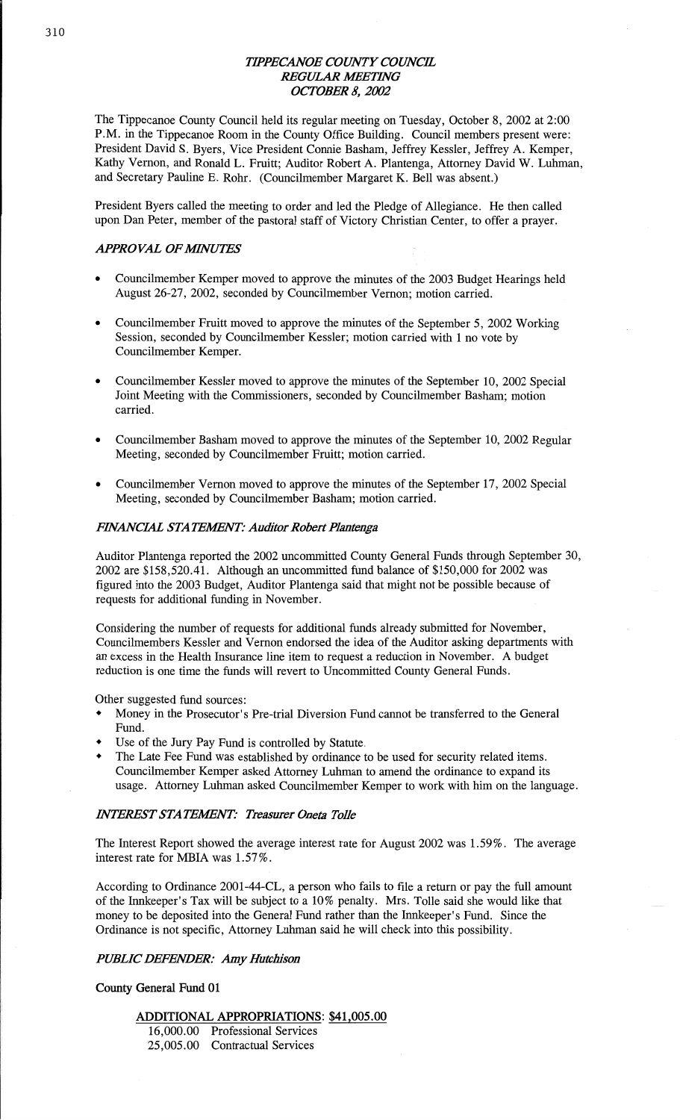## *TIPPEC'ANOE COWTY COUNCHL*  **REGULAR MEETING** *OCTOBER 8, 2002*

The **Tippecanoe** County Council **held** its regular meeting on Tuesday, October 8, 2002 at 2:00 PM. in the **Tippecanoe** Room in the County Office Building. Council members present were: President **David** S. Byers, Vice President Connie **Basham,** Jeffrey Kessler, Jeffrey A. Kemper, Kathy Vernon, and Ronald L. Pruitt; **Auditor** Robert A. Plantenga, Attorney David W. **Luhman,**  and Secretary **Pauline** E. Rohr. (Councilmember Margaret K. Bell was absent.)

President Byers called the **meeting** to order and led the Pledge of **Allegiance.** He **then** called **upon** Dan **Peter,** member of the **pastoral staff** of Victory **Christian** Center, to **offer a** prayer.

### *APPROVAL OFMVUYES'*

- Councilmember Kemper **moved** to approve the **minutcs** of the 2003 Budget Hearings held August 26-27, 2002, seconded by Councilmember Vernon; motion carried.
- Councilmember Fruitt moved to approve the minutes of the September 5, 2002 Working **Session,** seconded by **Councilmember** Kessler; motion carried with 1 no vote by Councilmember Kemper.
- *o* **Councilmember Kessler** moved to approve the **minutes** of the September 10, 2002 **Special**  Joint Meeting with the **Commissioners,** seconded by Councilmember **Basham; motion**  carried.
- **0 Councilmember Basham moved** to approve the **minutes** of the **September** 10, **200Q** Regular Meeting, seconded by **Councihnember** Pruitt; motion carried.
- **0** Councilmember Vernon **moved** to approve the minutes of the **September** 17, 2002 **Special**  Meeting, **seconded** by Councilmember **Basham; motion** carried.

#### *FINANCML* STA *TEWNT: Auditor Robert Plantenga*

Auditor Plantenga reported the 2002 uncommitted County General Funds through September 30, 2002 are \$158,520.41. Although an uncommitted **fund** balance of \$150,000 for 2002 was figured into the 2003 Budget, Auditor Plantenga said that **might** not be possible because of requests for **additional funding** in November.

Considering the number of requests for **additional flmds** already submitted for November, Councilmembers Kessler and Vernon endorsed the idea of the **Auditor asking** departments with an excess in the Health Insurance **line** item to request **a** reduction in November. **A** budget reduction is one time the **funds** will revert to Uncommitted County General Funds.

Other suggested **fund** sources:

- *0* Money in the Prosecutor's Pre-trial **Diversion** Fund **cannot** be transferred to the General Fund.
- Use of the Jury Pay Fund is controlled by Statute.
- *'* The Late Fee **Fund** was established by ordinance to be used for security related items. Councilmember Kemper **asked** Attorney **Luhman** to **amend** the ordinance to expand its usage. Attorney **Luhman asked** Councilmember Kemper to work with him on the language.

#### *INTEREST STATEMENT: Treasurer Oneta Tolle*

The Interest Report showed the average interest rate for **August** 2002 was 1.59%. The average interest rate for **MBIA** was 1.57%.

According to **Ordinance** 2001-44—CL, **a** person who **fails** to file a return or pay the **full** amount of the Innkeeper's Tax will be subject to **a** 10% penalty. Mrs. Tolle said she would like that money to be deposited into the General **Fund** rather than the Innkeeper's **Fund. Since** the Ordinance is not specific, Attorney **Luhman** said he will check into this possibility.

#### *PUBLIC DEFEADER:* Amy *Humlzisou*

**County General Fund** 01

#### **ADDITIONAL APPROPRIATIONS:** \$41,005.00

16,000.00 Professional Services 25,005.00 Contractual Services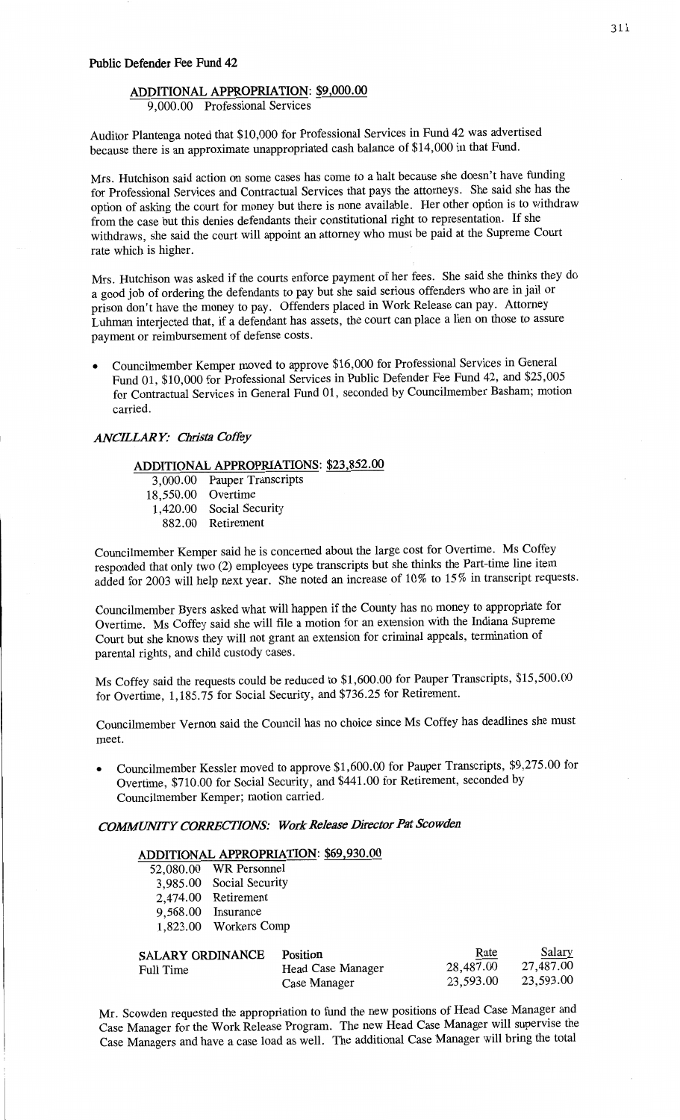## **ADDITIONAL APPROPRIATION: \$9,000.00**

9,000.00 Professional Services

Auditor Plantenga noted **that** \$10,000 for **Professional** Services in Fund 42 was advertised because there is an approximate unappropriated cash **balance** of \$14,000 in **that** Fund.

**Mrs.** Hutchison said action on some cases has come to a **halt** because she doesn't have **funding**  for Professional Services and Contractual Services that pays the **attorneys.** She said she has the **option** of asking the court for money but **there** is none available. Her other option is to withdraw from the case but **this** denies defendants their constitutional **right** to representation. If she withdraws, she said the court will **appoint** an attorney who **must** be **paid** at the Supreme Court rate which is higher.

Mrs. Hutchison was **asked** if the courts enforce payment of her fees. She **said** she **thinks** they do **a** good job of ordering the defendants to pay but she said serious offenders who are in jail or prison don't have the money to pay. **Offenders** placed in Work Release can pay. Attorney **Luhman** interjected that, if a defendant has assets, the court can place **a** lien on those to **assure payment** or reimbursement of defense **costs.** 

**0** Councilmember Kemper moved to approve \$16,000 for **Professional** Services in General Fund 01, \$10,000 for Professional Services in Public Defender Fee Fund 42, and \$25,005 for Contractual Services in General **Fund** 01, **seconded** by Councilmember **Basham;** motion carried.

## *ANCELAR* Y: Christa *Cofl'éy*

## **ADDITIONAL APPROPRIATIONS:** \$23,852.00

3,000.00 Pauper Transcripts 18,550.00 Overtime 1,420.00 **Social** Security 882.00 Retirement

Councilmember Kemper **said** he is concerned about the large cost for Overtime. Ms Coffey responded that only two (2) employees type transcripts but she **thinks** the Part-time **line** item **added** for 2003 will help next year. She noted an increase of 10% to 15% in transcript requests.

Councilmember Byers asked what will happen if the County has no **money** to appropriate for Overtime. Ms Coffey said she will file a motion for an **extension** with the Indiana Supreme **Court** but she knows **they** will not grant an extension for criminal appeals, termination of parental rights, and child custody cases.

Ms Coffey **said** the requests could be reduced to \$1,600.00 for Pauper Transcripts, \$15,500.00 for Overtime, **1,185.75** for Social Security, and \$736.25 for Retirement.

Councilmember Vernon **said** the Council has no choice since Ms Coffey has deadlines she **must**  meet.

**0** Councilmember Kessler **moved** to approve \$1,600.00 for Pauper **Transcripts,** \$9,275.00 for **Overtime,** \$710.00 for Social Security, and \$441.00 for **Retirement, seconded** by Councilmember Kemper; motion carried.

## *COMIWMWTY CORRECHONS: WorcIeasc* Director Pat *Scowden*

#### **ADDITIONAL APPROPRIATION:** \$69,930.00

| 52,080.00 | WR Personnel    |
|-----------|-----------------|
| 3,985.00  | Social Security |
| 2,474.00  | Retirement      |
| 9,568.00  | Insurance       |
| 1,823.00  | Workers Comp    |
|           |                 |
|           |                 |

| <b>SALARY ORDINANCE</b><br>Full Time | Position<br>Head Case Manager | Rate<br>28,487.00<br>23,593.00 | Salary<br>27,487.00<br>23,593.00 |
|--------------------------------------|-------------------------------|--------------------------------|----------------------------------|
|                                      | Case Manager                  |                                |                                  |

Mr. Scowden requested the appropriation to fund the new positions of **Head** Case Manager and **Case** Manager for the Work Release Program. The new Head Case Manager **will supervise** the Case Managers and have a case load as well. The **additional** Case Manager will bring the total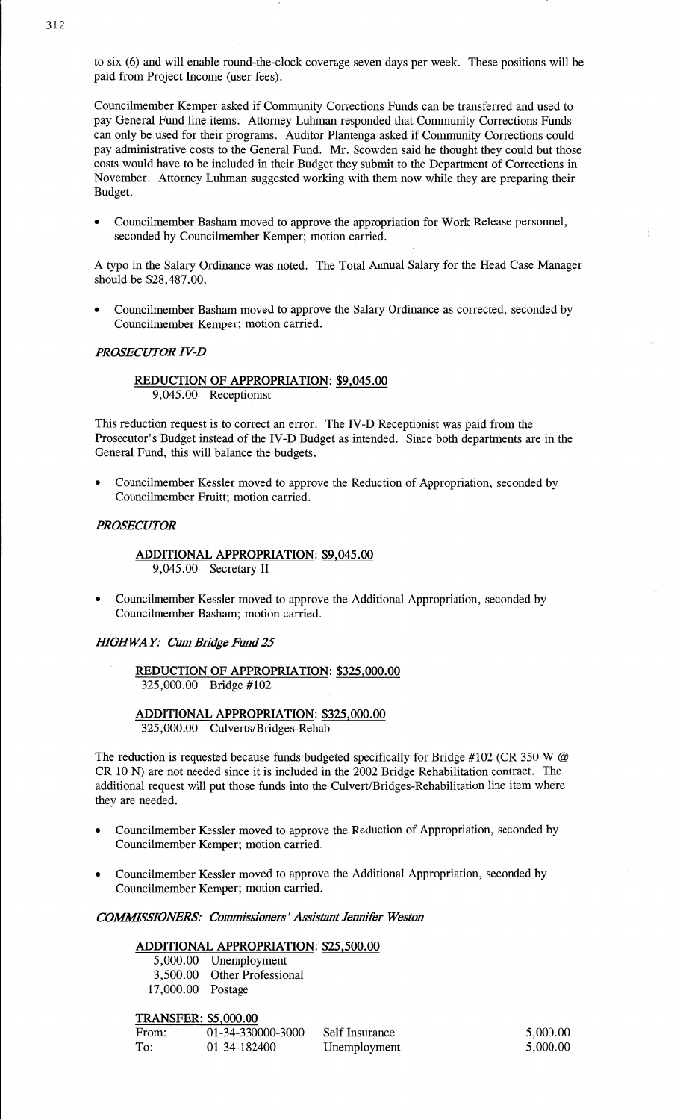to six (6) and **will** enable round-the-clock coverage seven days per week. **These** positions will be paid from Project Income (user fees).

Councilmember Kemper asked if **Community** Corrections Funds can be transferred and used to pay General Fund line items. Attorney Luhman responded that Community Corrections Funds can only be used for their programs. Auditor Plantenga asked if Community Corrections could pay administrative costs to the General Fund. Mr. Scowden **said** he thought they could but those **costs** would **have** to be included in their Budget they submit to the Department of Corrections in November. Attorney **Luhman** suggested working with them now While they are preparing their Budget.

**<sup>0</sup>**Councilmember Basham moved to approve the appropriation for Work Release personnel, seconded by Councilmember Kemper; motion **carried.** 

**<sup>A</sup>**typo in the Salary **Ordinance** was noted. The Total **Annual** Salary for the Head Case Manager **should** be \$28,487.00.

**0** Councilmember Basham moved to approve the Salary Ordinance as corrected, seconded by Councilmember Kemper; motion carried.

## *PROSECUTOR IV-D*

## REDUCTION OF **APPROPRIATION: \$9,045.00**  9,045.00 Receptionist

This reduction request is to correct an error. The IV-D Receptionist was paid from the Prosecutor's Budget instead of the IV-D Budget as intended. Since both departments are in the General Fund, this will balance the budgets.

Councilmember Kessler moved to approve the Reduction of Appropriation, seconded by Councilmember Fruitt; motion carried.

#### *PROSECUTOR*

#### **ADDITIONAL** APPROPRIATION: **\$9,045.00**  9,045 .00 Secretary **H**

**0** Councilmember Kessler moved to approve the Additional Appropriation, seconded by Councilmember **Basham;** motion carried.

## *IHGHWA* Y: Cum *Btidge* Emd 25

**REDUCTION** OF **APPROPRIATION:** \$325,000.00 325,000.00 Bridge #102

**ADDITIONAL** APPROPRIATION: \$325,000.00 325,000.00 Culverts/Bridges—Rehab

The reduction is requested because funds budgeted specifically for Bridge #102 (CR 350 W *@*  CR 10 N) are not needed since it is included in the 2002 Bridge Rehabilitation contract. The additional request will put **those funds** into the Culvert/Bridges-Rehabilitation **line item** where they are **needed.** 

- **0** Councilmember Kessler moved to approve the Reduction of Appropriation, seconded by Councilmember Kemper; motion carried.
- **0** Councilmember Kessler moved to approve the Additional Appropriation, **seconded** by Councilmember Kemper; motion carried.

## *COWSSIONERS' Commissioners'Assismnt* Jennifer *Weston*

#### **ADDITIONAL APPROPRIATION:** \$25,500.00

5,000.00 Unemployment 3,500.00 Other Professional 17,000.00 Postage

**TRANSFER:** \$5 000.00

| From: | 01-34-330000-3000 | Self Insurance | 5,000.00 |
|-------|-------------------|----------------|----------|
| To:   | 01-34-182400      | Unemployment   | 5,000.00 |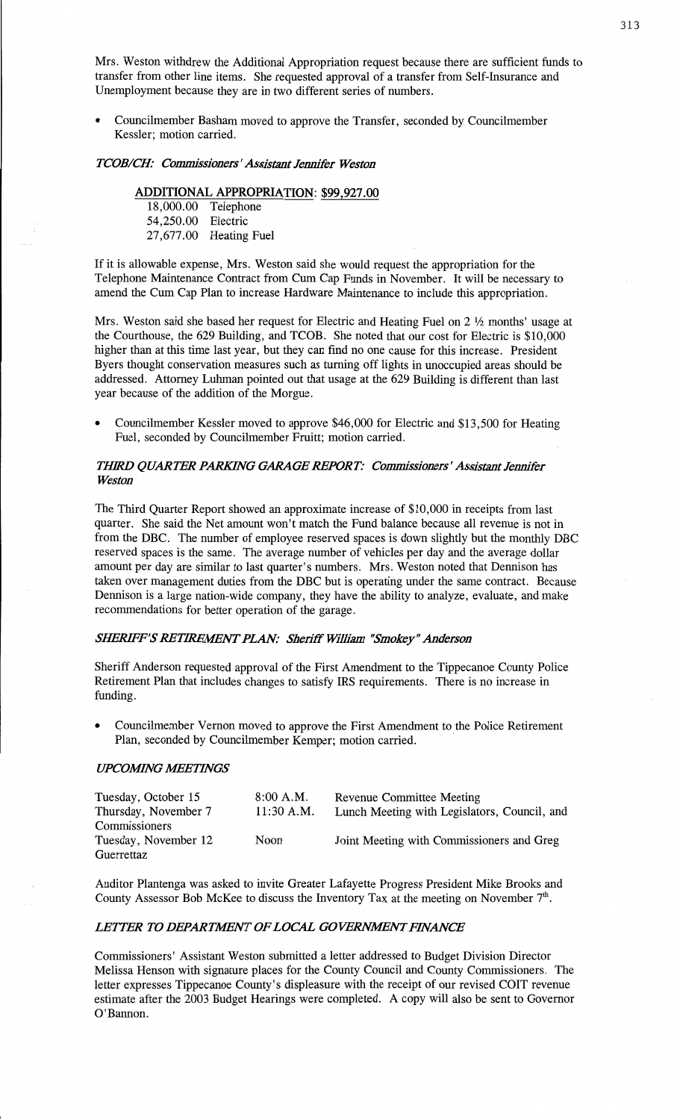Mrs. Weston withdrew the Additional **Appropriation** request because there are sufficient funds to transfer from other **line** items. She requested approval of **a** transfer from Self-Insurance and Unemployment because they are in two different **series** of numbers.

**0** Councihnember **Basham** moved to approve the Transfer, **seconded** by Councilmember Kessler; motion carried.

#### **TCOB/CH:** Commissioners' Assistant Jennifer Weston

## **ADDITIONAL APPROPRIATION: \$99,927.00**

**18,000.00** Telephone 54,250.00 Electric 27,677.00 Heating **Fuel** 

If it is allowable expense, Mrs. Weston said she would request the appropriation for the Telephone Maintenance Contract from Cum Cap Funds in November. It will be necessary to amend the Cum Cap Plan to increase Hardware Maintenance to include this appropriation.

Mrs. Weston said she based her **request** for Electric and Heating Fuel on 2 **%** months' **usage** at the Courthouse, the 629 Building, and TCOB. She noted that our cost for Electric is \$10,000 higher **than** at this time last year, but they can find no one cause for this increase. President Byers thought conservation measures such as **turning** off lights in unoccupied areas should be addressed. Attorney **Luhman pointed** out **that** usage at the 629 **Building** is **different than last**  year because of the **addition** of the Morgue.

Councilmember Kessler moved to approve \$46,000 for Electric and \$13,500 for Heating Fuel, seconded by Councilmember Pruitt; motion carried.

## *TIMQD QUARTER PARKHVG GARAGE REPORT: Commis'sionem '* Asfistant Jennifer *Weston*

The Third Quarter Report showed an approximate increase of \$10,000 in receipts from last quarter. She said the Net amount **won't match** the Fund balance because all revenue is not in from the DEC. The number of employee reserved spaces is down slightly but the monthly DBC reserved spaces is the same. The average number of vehicles per day and the average dollar amount per day are similar to last quarter's numbers. Mrs. Weston noted that **Dennison** has taken over **management** duties from the DEC but is operating under the same contract. Because **Dennison** is **a** large nation-wide company, they **have** the ability to **analyze,** evaluate, and **make**  recommendations for better **operation** of the garage.

#### SHERIFF'S RETIREMENT PLAN: Sheriff William "Smokey" Anderson

Sheriff Anderson requested approval of the First **Amendment** to the **Tippecanoe** County Police Retirement **Plan** that includes **changes** to satisfy IRS requirements. There is no increase in fimding.

Councilmember Vernon moved to approve the First Amendment to the Police Retirement Plan, seconded by Councilmember Kemper; motion carried.

#### **UPCOMING MEETINGS**

| Tuesday, October 15  | 8:00 A.M.    | <b>Revenue Committee Meeting</b>             |
|----------------------|--------------|----------------------------------------------|
| Thursday, November 7 | $11:30$ A.M. | Lunch Meeting with Legislators, Council, and |
| Commissioners        |              |                                              |
| Tuesday, November 12 | Noon         | Joint Meeting with Commissioners and Greg    |
| Guerrettaz           |              |                                              |

Auditor Plantenga was asked to invite Greater Lafayette Progress President Mike **Brooks** and **County Assessor** Bob McKee to discuss the **Inventory** Tax at the meeting on November 7'".

## **LETTER TO DEPARTMENT OF LOCAL GOVERNMENT FINANCE**

**Commissioners'** Assistant Weston submitted a letter addressed to Budget Division **Director Melissa** Henson with signature places for the County Council and County Commissioners. The letter expresses Tippecanoe County's displeasure with the receipt of our revised COIT revenue estimate after the 2003 Budget Hearings were completed. **A** copy will also be sent to Governor O'Bannon.